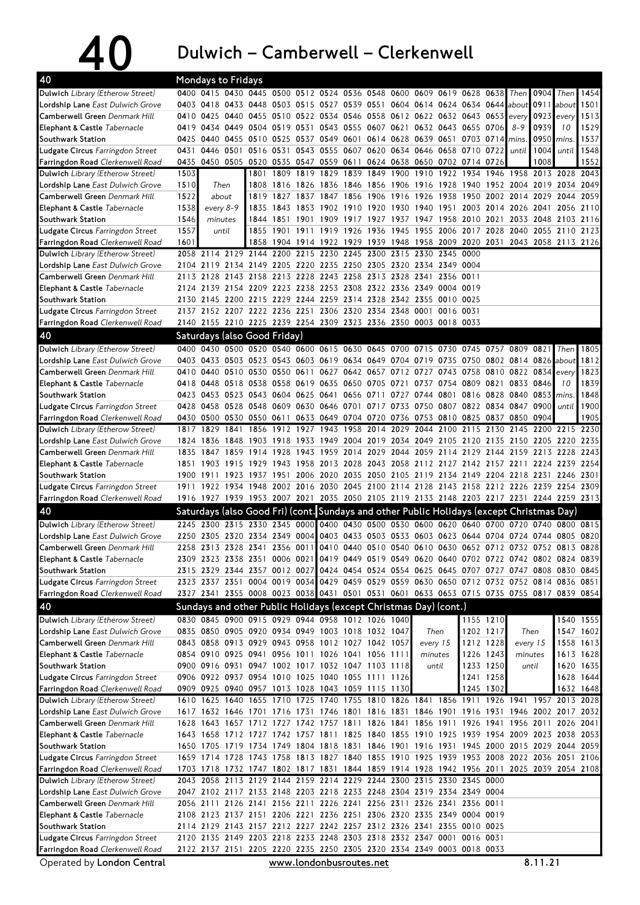40 Dulwich – Camberwell – Clerkenwell

| 40                                                             | <b>Mondays to Fridays</b> |           |      |                                    |      |      |                                                                                                  |                |                     |      |                                         |           |                |           |                     |           |                                                                                           |           |
|----------------------------------------------------------------|---------------------------|-----------|------|------------------------------------|------|------|--------------------------------------------------------------------------------------------------|----------------|---------------------|------|-----------------------------------------|-----------|----------------|-----------|---------------------|-----------|-------------------------------------------------------------------------------------------|-----------|
| Dulwich Library (Etherow Street)                               |                           |           |      |                                    |      |      | 0400 0415 0430 0445 0500 0512 0524 0536 0548 0600 0609 0619 0628 0638                            |                |                     |      |                                         |           |                |           | Then                | 0904      | Then                                                                                      | 1454      |
| Lordship Lane East Dulwich Grove                               | 0403                      | 0418      |      |                                    |      |      | 0433 0448 0503 0515 0527 0539 0551 0604 0614 0624 0634 0644 about                                |                |                     |      |                                         |           |                |           |                     | 0911      | about                                                                                     | 1501      |
| Camberwell Green Denmark Hill                                  | 0410                      |           |      |                                    |      |      | 0425 0440 0455 0510 0522 0534 0546 0558 0612 0622 0632 0643 0653                                 |                |                     |      |                                         |           |                |           | every               | 0923      | every                                                                                     | 1513      |
| Elephant & Castle Tabernacle                                   |                           |           |      | 0419 0434 0449 0504 0519 0531      |      |      |                                                                                                  |                |                     |      | 0543 0555 0607 0621 0632 0643 0655 0706 |           |                |           | 8-9                 | 0939      | 10                                                                                        | 1529      |
| Southwark Station                                              | 0425                      | 0440      |      | 0455 0510 0525                     |      |      | 0537 0549 0601 0614 0628 0639 0651                                                               |                |                     |      |                                         |           | 0703 0714      |           | mins.               | 0950      | mins.                                                                                     | 1537      |
| Ludgate Circus Farringdon Street                               | 0431                      | 0446 0501 |      | 0516 0531                          |      |      | 0543 0555 0607 0620 0634 0646 0658 0710 0722                                                     |                |                     |      |                                         |           |                |           | until               | 1004      | until                                                                                     | 1548      |
| Farringdon Road Clerkenwell Road                               | 0435                      | 0450 0505 |      | 0520 0535                          |      |      | 0547 0559 0611 0624 0638 0650 0702 0714 0726                                                     |                |                     |      |                                         |           |                |           |                     | 1008      |                                                                                           | 1552      |
| Dulwich Library (Etherow Street)                               | 1503                      |           |      | 1801                               | 1809 | 1819 | 1829                                                                                             | 1839           | 1849 1900           |      | 1910                                    | 1922      | 1934           | 1946      |                     |           | 1958 2013 2028                                                                            | 2043      |
| <b>Lordship Lane</b> East Dulwich Grove                        | 1510                      | Then      |      | 1808                               | 1816 |      | 1826 1836 1846 1856 1906 1916 1928                                                               |                |                     |      |                                         |           |                |           | 1940 1952 2004 2019 |           | 2034                                                                                      | 2049      |
| Camberwell Green Denmark Hill                                  | 1522                      | about     |      | 1819                               | 1827 | 1837 | 1847                                                                                             | 1856           | 1906                | 1916 | 1926                                    | 1938      | 1950           | 2002      | 2014                | 2029      | 2044                                                                                      | 2059      |
| Elephant & Castle Tabernacle                                   | 1538                      | every 8-9 |      | 1835                               | 1843 | 1853 | 1902                                                                                             | 1910           | 1920                | 1930 | 1940                                    | 1951      | 2003           | 2014      | 2026 2041           |           | 2056                                                                                      | 2110      |
| Southwark Station                                              | 1546                      | minutes   |      | 1844                               | 1851 | 1901 | 1909                                                                                             |                |                     |      | 1917 1927 1937 1947 1958                |           | 2010           | 2021      |                     | 2033 2048 | 2103                                                                                      | 2116      |
| Ludgate Circus Farringdon Street                               | 1557                      | until     |      | 1855                               | 1901 | 1911 | 1919 1926                                                                                        |                | 1936                |      | 1945 1955 2006 2017 2028                |           |                |           |                     |           | 2040 2055 2110                                                                            | 2123      |
| Farringdon Road Clerkenwell Road                               | 1601                      |           |      | 1858                               |      |      |                                                                                                  |                |                     |      |                                         |           |                |           |                     |           | 1904 1914 1922 1929 1939 1948 1958 2009 2020 2031 2043 2058 2113 2126                     |           |
| Dulwich Library (Etherow Street)                               | 2058                      | 2114      |      | 2129 2144                          | 2200 | 2215 | 2230 2245                                                                                        |                | 2300                | 2315 | 2330 2345 0000                          |           |                |           |                     |           |                                                                                           |           |
| <b>Lordship Lane</b> East Dulwich Grove                        | 2104                      | 2119      |      | 2134 2149 2205                     |      |      | 2220 2235 2250 2305                                                                              |                |                     |      | 2320 2334 2349 0004                     |           |                |           |                     |           |                                                                                           |           |
| Camberwell Green Denmark Hill                                  |                           | 2113 2128 |      |                                    |      |      | 2143 2158 2213 2228 2243 2258 2313 2328 2341                                                     |                |                     |      |                                         | 2356 0011 |                |           |                     |           |                                                                                           |           |
| Elephant & Castle Tabernacle                                   |                           |           |      |                                    |      |      | 2124 2139 2154 2209 2223 2238 2253 2308 2322 2336 2349 0004 0019                                 |                |                     |      |                                         |           |                |           |                     |           |                                                                                           |           |
| Southwark Station                                              |                           |           |      |                                    |      |      | 2130 2145 2200 2215 2229 2244 2259 2314 2328 2342 2355 0010 0025                                 |                |                     |      |                                         |           |                |           |                     |           |                                                                                           |           |
| Ludgate Circus Farringdon Street                               |                           |           |      |                                    |      |      | 2137 2152 2207 2222 2236 2251 2306 2320 2334 2348 0001 0016 0031                                 |                |                     |      |                                         |           |                |           |                     |           |                                                                                           |           |
| Farringdon Road Clerkenwell Road                               |                           |           |      |                                    |      |      | 2140 2155 2210 2225 2239 2254 2309 2323 2336 2350 0003 0018 0033                                 |                |                     |      |                                         |           |                |           |                     |           |                                                                                           |           |
|                                                                |                           |           |      |                                    |      |      |                                                                                                  |                |                     |      |                                         |           |                |           |                     |           |                                                                                           |           |
| 40                                                             |                           |           |      | Saturdays (also Good Friday)       |      |      |                                                                                                  |                |                     |      |                                         |           |                |           |                     |           |                                                                                           |           |
| Dulwich Library (Etherow Street)                               | 0400                      | 0430      | 0500 |                                    |      |      | 0520 0540 0600 0615 0630 0645                                                                    |                |                     |      | 0700 0715 0730                          |           | 0745           | 0757      | 0809                | 0821      | Then                                                                                      | 1805      |
| Lordship Lane East Dulwich Grove                               |                           |           |      |                                    |      |      | 0403 0433 0503 0523 0543 0603 0619 0634 0649 0704 0719 0735 0750 0802 0814 0826                  |                |                     |      |                                         |           |                |           |                     |           | about                                                                                     | 1812      |
| Camberwell Green Denmark Hill                                  | 0410                      | 0440      |      | 0510 0530 0550                     |      | 0611 | 0627                                                                                             |                | 0642 0657 0712 0727 |      |                                         | 0743      | 0758           |           | 0810 0822 0834      |           | every                                                                                     | 1823      |
| Elephant & Castle Tabernacle                                   | 0418                      | 0448      |      | 0518 0538 0558                     |      |      | 0619 0635 0650 0705                                                                              |                |                     | 0721 |                                         | 0737 0754 | 0809 0821      |           | 0833 0846           |           | 10                                                                                        | 1839      |
| Southwark Station                                              |                           |           |      | 0423 0453 0523 0543 0604 0625 0641 |      |      |                                                                                                  | 0656 0711      |                     |      | 0727 0744 0801                          |           |                | 0816 0828 | 0840 0853           |           | mins.                                                                                     | 1848      |
| Ludgate Circus Farringdon Street                               | 0428                      |           |      | 0458 0528 0548 0609                |      |      | 0630 0646 0701 0717 0733 0750                                                                    |                |                     |      |                                         |           | 0807 0822 0834 |           | 0847 0900           |           | until                                                                                     | 1900      |
| Farringdon Road Clerkenwell Road                               |                           |           |      | 0430 0500 0530 0550 0611           |      |      | 0633 0649 0704 0720 0736 0753 0810                                                               |                |                     |      |                                         |           | 0825           | 0837      | 0850 0904           |           |                                                                                           | 1905      |
| Dulwich Library (Etherow Street)                               | 1817                      | 1829      | 1841 | 1856                               | 1912 | 1927 |                                                                                                  |                | 1943 1958 2014 2029 |      | 2044                                    | 2100      |                | 2115 2130 |                     |           | 2145 2200 2215                                                                            | 2230      |
| <b>Lordship Lane</b> East Dulwich Grove                        |                           | 1824 1836 | 1848 | 1903                               | 1918 | 1933 |                                                                                                  |                |                     |      | 1949 2004 2019 2034 2049 2105           |           | 2120 2135      |           | 2150 2205           |           | 2220 2235                                                                                 |           |
| Camberwell Green Denmark Hill                                  | 1835                      | 1847      | 1859 | 1914                               | 1928 | 1943 | 1959                                                                                             | 2014           | 2029                | 2044 | 2059                                    | 2114      | 2129           | 2144      |                     |           | 2159 2213 2228                                                                            | 2243      |
| <b>Elephant &amp; Castle Tabernacle</b>                        | 1851                      | 1903      | 1915 | 1929                               | 1943 |      |                                                                                                  |                |                     |      |                                         |           |                |           |                     |           | 1958 2013 2028 2043 2058 2112 2127 2142 2157 2211 2224 2239 2254                          |           |
| Southwark Station                                              | 1900                      | 1911      |      | 1923 1937                          | 1951 |      | 2006 2020 2035 2050 2105 2119 2134                                                               |                |                     |      |                                         |           |                |           |                     |           | 2149 2204 2218 2231 2246 2301                                                             |           |
| Ludgate Circus Farringdon Street                               |                           |           |      | 1911 1922 1934 1948                |      |      |                                                                                                  |                |                     |      |                                         |           |                |           |                     |           | 2002 2016 2030 2045 2100 2114 2128 2143 2158 2212 2226 2239 2254 2309                     |           |
| Farringdon Road Clerkenwell Road                               |                           |           |      |                                    |      |      |                                                                                                  |                |                     |      |                                         |           |                |           |                     |           | 1916 1927 1939 1953 2007 2021 2035 2050 2105 2119 2133 2148 2203 2217 2231 2244 2259 2313 |           |
| 40                                                             |                           |           |      |                                    |      |      | Saturdays (also Good Fri) (cont. Sundays and other Public Holidays (except Christmas Day)        |                |                     |      |                                         |           |                |           |                     |           |                                                                                           |           |
| Dulwich Library (Etherow Street)                               |                           | 2245 2300 |      | 2315 2330 2345                     |      |      | 0000 0400 0430 0500 0530 0600 0620 0640 0700                                                     |                |                     |      |                                         |           |                |           |                     |           | 0720 0740 0800 0815                                                                       |           |
| Lordship Lane East Dulwich Grove                               | 2250                      | 2305      | 2320 | 2334 2349                          |      | 0004 |                                                                                                  | 0403 0433 0503 |                     |      | 0533 0603 0623                          |           | 0644 0704      |           | 0724 0744           |           | 0805                                                                                      | 0820      |
| Camberwell Green Denmark Hill                                  |                           |           |      | 2258 2313 2328 2341 2356 0011      |      |      |                                                                                                  |                |                     |      |                                         |           |                |           |                     |           | 0410 0440 0510 0540 0610 0630 0652 0712 0732 0752 0813 0828                               |           |
| Elephant & Castle Tabernacle                                   |                           |           |      |                                    |      |      |                                                                                                  |                |                     |      |                                         |           |                |           |                     |           | 2309 2323 2338 2351 0006 0021 0419 0449 0519 0549 0620 0640 0702 0722 0742 0802 0824 0839 |           |
| Southwark Station                                              |                           |           |      |                                    |      |      |                                                                                                  |                |                     |      |                                         |           |                |           |                     |           | 2315 2329 2344 2357 0012 0027 0424 0454 0524 0554 0625 0645 0707 0727 0747 0808 0830 0845 |           |
| Ludgate Circus Farringdon Street                               |                           |           |      |                                    |      |      |                                                                                                  |                |                     |      |                                         |           |                |           |                     |           | 2323 2337 2351 0004 0019 0034 0429 0459 0529 0559 0630 0650 0712 0732 0752 0814 0836 0851 |           |
| Farringdon Road Clerkenwell Road                               |                           |           |      |                                    |      |      |                                                                                                  |                |                     |      |                                         |           |                |           |                     |           | 2327 2341 2355 0008 0023 0038 0431 0501 0531 0601 0633 0653 0715 0735 0755 0817 0839 0854 |           |
| 40                                                             |                           |           |      |                                    |      |      | Sundays and other Public Holidays (except Christmas Day) (cont.)                                 |                |                     |      |                                         |           |                |           |                     |           |                                                                                           |           |
|                                                                |                           |           |      |                                    |      |      |                                                                                                  |                |                     |      |                                         |           |                |           |                     |           |                                                                                           |           |
| Dulwich Library (Etherow Street)                               |                           |           |      |                                    |      |      | 0830 0845 0900 0915 0929 0944 0958 1012 1026 1040                                                |                |                     |      |                                         |           |                | 1155 1210 |                     |           |                                                                                           | 1540 1555 |
| Lordship Lane East Dulwich Grove                               |                           |           |      |                                    |      |      | 0835 0850 0905 0920 0934 0949 1003 1018 1032 1047                                                |                |                     |      | Then                                    |           |                | 1202 1217 | Then                |           |                                                                                           | 1547 1602 |
| Camberwell Green Denmark Hill                                  |                           |           |      |                                    |      |      | 0843 0858 0913 0929 0943 0958 1012 1027 1042 1057                                                |                |                     |      | every 15                                |           |                | 1212 1228 | every 15            |           |                                                                                           | 1558 1613 |
| Elephant & Castle Tabernacle                                   |                           |           |      |                                    |      |      | 0854 0910 0925 0941 0956 1011 1026 1041 1056 1111                                                |                |                     |      | minutes                                 |           |                | 1226 1243 | minutes             |           |                                                                                           | 1613 1628 |
| Southwark Station                                              |                           |           |      |                                    |      |      | 0900 0916 0931 0947 1002 1017 1032 1047 1103 1118                                                |                |                     |      |                                         | until     |                | 1233 1250 | until               |           |                                                                                           | 1620 1635 |
| Ludgate Circus Farringdon Street                               |                           |           |      |                                    |      |      | 0906 0922 0937 0954 1010 1025 1040 1055 1111 1126                                                |                |                     |      |                                         |           |                | 1241 1258 |                     |           |                                                                                           | 1628 1644 |
| Farringdon Road Clerkenwell Road                               |                           |           |      |                                    |      |      | 0909 0925 0940 0957 1013 1028 1043 1059 1115 1130                                                |                |                     |      |                                         |           | 1245 1302      |           |                     |           |                                                                                           | 1632 1648 |
| Dulwich Library (Etherow Street)                               |                           |           |      |                                    |      |      |                                                                                                  |                |                     |      |                                         |           |                |           |                     |           | 1610 1625 1640 1655 1710 1725 1740 1755 1810 1826 1841 1856 1911 1926 1941 1957 2013 2028 |           |
| <b>Lordship Lane</b> East Dulwich Grove                        |                           |           |      |                                    |      |      |                                                                                                  |                |                     |      |                                         |           |                |           |                     |           | 1617 1632 1646 1701 1716 1731 1746 1801 1816 1831 1846 1901 1916 1931 1946 2002 2017 2032 |           |
| Camberwell Green Denmark Hill                                  |                           |           |      |                                    |      |      |                                                                                                  |                |                     |      |                                         |           |                |           |                     |           | 1628 1643 1657 1712 1727 1742 1757 1811 1826 1841 1856 1911 1926 1941 1956 2011 2026 2041 |           |
| Elephant & Castle Tabernacle                                   |                           |           |      |                                    |      |      |                                                                                                  |                |                     |      |                                         |           |                |           |                     |           | 1643 1658 1712 1727 1742 1757 1811 1825 1840 1855 1910 1925 1939 1954 2009 2023 2038 2053 |           |
| Southwark Station                                              |                           |           |      |                                    |      |      |                                                                                                  |                |                     |      |                                         |           |                |           |                     |           | 1650 1705 1719 1734 1749 1804 1818 1831 1846 1901 1916 1931 1945 2000 2015 2029 2044 2059 |           |
| Ludgate Circus Farringdon Street                               |                           |           |      |                                    |      |      |                                                                                                  |                |                     |      |                                         |           |                |           |                     |           | 1659 1714 1728 1743 1758 1813 1827 1840 1855 1910 1925 1939 1953 2008 2022 2036 2051 2106 |           |
| Farringdon Road Clerkenwell Road                               |                           |           |      |                                    |      |      |                                                                                                  |                |                     |      |                                         |           |                |           |                     |           | 1703 1718 1732 1747 1802 1817 1831 1844 1859 1914 1928 1942 1956 2011 2025 2039 2054 2108 |           |
| Dulwich Library (Etherow Street)                               |                           |           |      |                                    |      |      | 2043 2058 2113 2129 2144 2159 2214 2229 2244 2300 2315 2330 2345 0000                            |                |                     |      |                                         |           |                |           |                     |           |                                                                                           |           |
| Lordship Lane East Dulwich Grove                               |                           |           |      |                                    |      |      | 2047 2102 2117 2133 2148 2203 2218 2233 2248 2304 2319 2334 2349 0004                            |                |                     |      |                                         |           |                |           |                     |           |                                                                                           |           |
| Camberwell Green Denmark Hill                                  |                           |           |      |                                    |      |      | 2056 2111 2126 2141 2156 2211 2226 2241 2256 2311 2326 2341 2356 0011                            |                |                     |      |                                         |           |                |           |                     |           |                                                                                           |           |
| Elephant & Castle Tabernacle                                   |                           |           |      |                                    |      |      | 2108 2123 2137 2151 2206 2221 2236 2251 2306 2320 2335 2349 0004 0019                            |                |                     |      |                                         |           |                |           |                     |           |                                                                                           |           |
| Southwark Station                                              |                           |           |      |                                    |      |      | 2114 2129 2143 2157 2212 2227 2242 2257 2312 2326 2341 2355 0010 0025                            |                |                     |      |                                         |           |                |           |                     |           |                                                                                           |           |
|                                                                |                           |           |      |                                    |      |      |                                                                                                  |                |                     |      |                                         |           |                |           |                     |           |                                                                                           |           |
| Ludgate Circus Farringdon Street                               |                           |           |      |                                    |      |      | 2120 2135 2149 2203 2218 2233 2248 2303 2318 2332 2347 0001 0016 0031                            |                |                     |      |                                         |           |                |           |                     |           |                                                                                           |           |
| Farringdon Road Clerkenwell Road<br>Operated by London Central |                           |           |      |                                    |      |      | 2122 2137 2151 2205 2220 2235 2250 2305 2320 2334 2349 0003 0018 0033<br>www.londonbusroutes.net |                |                     |      |                                         |           |                |           |                     | 8.11.21   |                                                                                           |           |